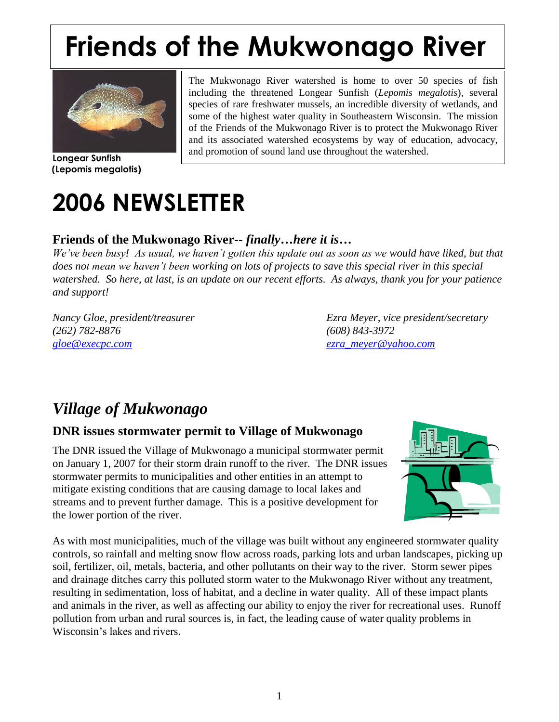# **Friends of the Mukwonago River**



**Longear Sunfish (Lepomis megalotis)**

The Mukwonago River watershed is home to over 50 species of fish including the threatened Longear Sunfish (*Lepomis megalotis*), several species of rare freshwater mussels, an incredible diversity of wetlands, and some of the highest water quality in Southeastern Wisconsin. The mission of the Friends of the Mukwonago River is to protect the Mukwonago River and its associated watershed ecosystems by way of education, advocacy, and promotion of sound land use throughout the watershed.

# **2006 NEWSLETTER**

#### **Friends of the Mukwonago River--** *finally…here it is…*

*We've been busy! As usual, we haven't gotten this update out as soon as we would have liked, but that does not mean we haven't been working on lots of projects to save this special river in this special watershed. So here, at last, is an update on our recent efforts. As always, thank you for your patience and support!* 

*(262) 782-8876 (608) 843-3972 [gloe@execpc.com](mailto:gloe@execpc.com) [ezra\\_meyer@yahoo.com](file:///G:/ezra_meyer@yahoo.com)*

*Nancy Gloe, president/treasurer Ezra Meyer, vice president/secretary*

# *Village of Mukwonago*

#### **DNR issues stormwater permit to Village of Mukwonago**

The DNR issued the Village of Mukwonago a municipal stormwater permit on January 1, 2007 for their storm drain runoff to the river. The DNR issues stormwater permits to municipalities and other entities in an attempt to mitigate existing conditions that are causing damage to local lakes and streams and to prevent further damage. This is a positive development for the lower portion of the river.



As with most municipalities, much of the village was built without any engineered stormwater quality controls, so rainfall and melting snow flow across roads, parking lots and urban landscapes, picking up soil, fertilizer, oil, metals, bacteria, and other pollutants on their way to the river. Storm sewer pipes and drainage ditches carry this polluted storm water to the Mukwonago River without any treatment, resulting in sedimentation, loss of habitat, and a decline in water quality. All of these impact plants and animals in the river, as well as affecting our ability to enjoy the river for recreational uses. Runoff pollution from urban and rural sources is, in fact, the leading cause of water quality problems in Wisconsin's lakes and rivers.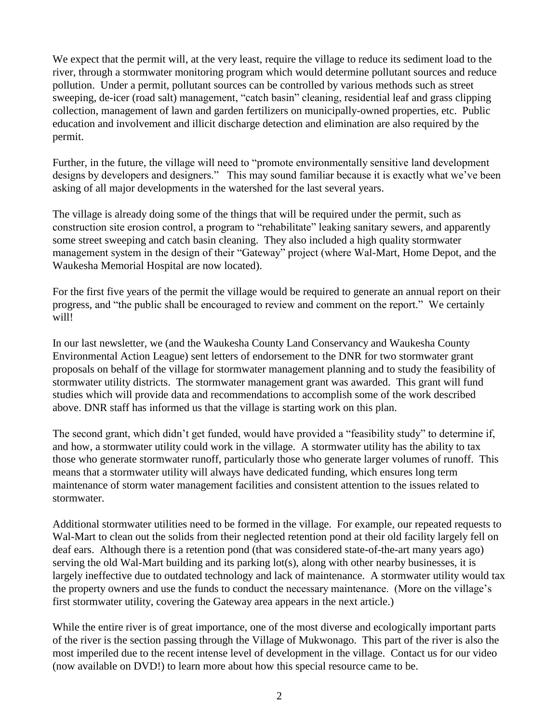We expect that the permit will, at the very least, require the village to reduce its sediment load to the river, through a stormwater monitoring program which would determine pollutant sources and reduce pollution. Under a permit, pollutant sources can be controlled by various methods such as street sweeping, de-icer (road salt) management, "catch basin" cleaning, residential leaf and grass clipping collection, management of lawn and garden fertilizers on municipally-owned properties, etc. Public education and involvement and illicit discharge detection and elimination are also required by the permit.

Further, in the future, the village will need to "promote environmentally sensitive land development designs by developers and designers." This may sound familiar because it is exactly what we've been asking of all major developments in the watershed for the last several years.

The village is already doing some of the things that will be required under the permit, such as construction site erosion control, a program to "rehabilitate" leaking sanitary sewers, and apparently some street sweeping and catch basin cleaning. They also included a high quality stormwater management system in the design of their "Gateway" project (where Wal-Mart, Home Depot, and the Waukesha Memorial Hospital are now located).

For the first five years of the permit the village would be required to generate an annual report on their progress, and "the public shall be encouraged to review and comment on the report." We certainly will!

In our last newsletter, we (and the Waukesha County Land Conservancy and Waukesha County Environmental Action League) sent letters of endorsement to the DNR for two stormwater grant proposals on behalf of the village for stormwater management planning and to study the feasibility of stormwater utility districts. The stormwater management grant was awarded. This grant will fund studies which will provide data and recommendations to accomplish some of the work described above. DNR staff has informed us that the village is starting work on this plan.

The second grant, which didn't get funded, would have provided a "feasibility study" to determine if, and how, a stormwater utility could work in the village. A stormwater utility has the ability to tax those who generate stormwater runoff, particularly those who generate larger volumes of runoff. This means that a stormwater utility will always have dedicated funding, which ensures long term maintenance of storm water management facilities and consistent attention to the issues related to stormwater.

Additional stormwater utilities need to be formed in the village. For example, our repeated requests to Wal-Mart to clean out the solids from their neglected retention pond at their old facility largely fell on deaf ears. Although there is a retention pond (that was considered state-of-the-art many years ago) serving the old Wal-Mart building and its parking lot(s), along with other nearby businesses, it is largely ineffective due to outdated technology and lack of maintenance. A stormwater utility would tax the property owners and use the funds to conduct the necessary maintenance. (More on the village's first stormwater utility, covering the Gateway area appears in the next article.)

While the entire river is of great importance, one of the most diverse and ecologically important parts of the river is the section passing through the Village of Mukwonago. This part of the river is also the most imperiled due to the recent intense level of development in the village. Contact us for our video (now available on DVD!) to learn more about how this special resource came to be.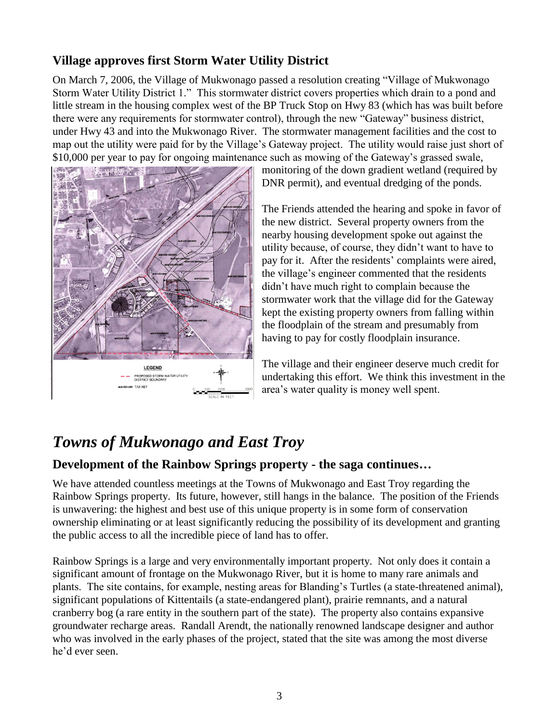#### **Village approves first Storm Water Utility District**

On March 7, 2006, the Village of Mukwonago passed a resolution creating "Village of Mukwonago Storm Water Utility District 1." This stormwater district covers properties which drain to a pond and little stream in the housing complex west of the BP Truck Stop on Hwy 83 (which has was built before there were any requirements for stormwater control), through the new "Gateway" business district, under Hwy 43 and into the Mukwonago River. The stormwater management facilities and the cost to map out the utility were paid for by the Village's Gateway project. The utility would raise just short of \$10,000 per year to pay for ongoing maintenance such as mowing of the Gateway's grassed swale,



monitoring of the down gradient wetland (required by DNR permit), and eventual dredging of the ponds.

The Friends attended the hearing and spoke in favor of the new district. Several property owners from the nearby housing development spoke out against the utility because, of course, they didn't want to have to pay for it. After the residents' complaints were aired, the village's engineer commented that the residents didn't have much right to complain because the stormwater work that the village did for the Gateway kept the existing property owners from falling within the floodplain of the stream and presumably from having to pay for costly floodplain insurance.

The village and their engineer deserve much credit for undertaking this effort. We think this investment in the area's water quality is money well spent.

# *Towns of Mukwonago and East Troy*

#### **Development of the Rainbow Springs property - the saga continues…**

We have attended countless meetings at the Towns of Mukwonago and East Troy regarding the Rainbow Springs property. Its future, however, still hangs in the balance. The position of the Friends is unwavering: the highest and best use of this unique property is in some form of conservation ownership eliminating or at least significantly reducing the possibility of its development and granting the public access to all the incredible piece of land has to offer.

Rainbow Springs is a large and very environmentally important property. Not only does it contain a significant amount of frontage on the Mukwonago River, but it is home to many rare animals and plants. The site contains, for example, nesting areas for Blanding's Turtles (a state-threatened animal), significant populations of Kittentails (a state-endangered plant), prairie remnants, and a natural cranberry bog (a rare entity in the southern part of the state). The property also contains expansive groundwater recharge areas. Randall Arendt, the nationally renowned landscape designer and author who was involved in the early phases of the project, stated that the site was among the most diverse he'd ever seen.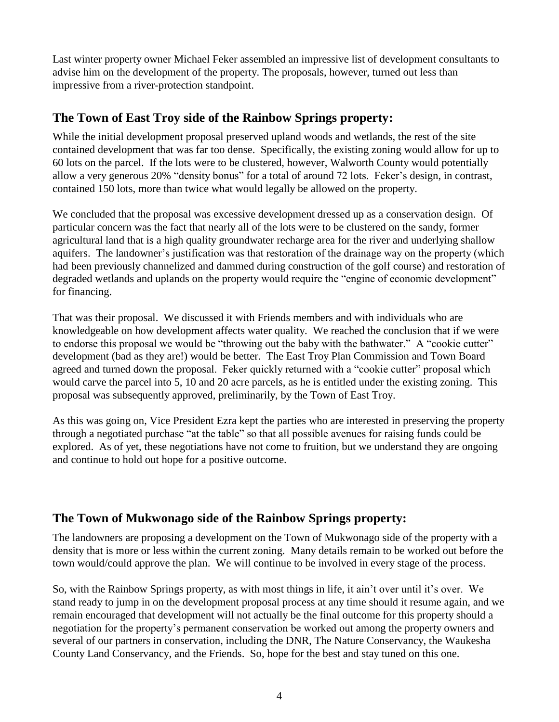Last winter property owner Michael Feker assembled an impressive list of development consultants to advise him on the development of the property. The proposals, however, turned out less than impressive from a river-protection standpoint.

#### **The Town of East Troy side of the Rainbow Springs property:**

While the initial development proposal preserved upland woods and wetlands, the rest of the site contained development that was far too dense. Specifically, the existing zoning would allow for up to 60 lots on the parcel. If the lots were to be clustered, however, Walworth County would potentially allow a very generous 20% "density bonus" for a total of around 72 lots. Feker's design, in contrast, contained 150 lots, more than twice what would legally be allowed on the property.

We concluded that the proposal was excessive development dressed up as a conservation design. Of particular concern was the fact that nearly all of the lots were to be clustered on the sandy, former agricultural land that is a high quality groundwater recharge area for the river and underlying shallow aquifers. The landowner's justification was that restoration of the drainage way on the property (which had been previously channelized and dammed during construction of the golf course) and restoration of degraded wetlands and uplands on the property would require the "engine of economic development" for financing.

That was their proposal. We discussed it with Friends members and with individuals who are knowledgeable on how development affects water quality. We reached the conclusion that if we were to endorse this proposal we would be "throwing out the baby with the bathwater." A "cookie cutter" development (bad as they are!) would be better. The East Troy Plan Commission and Town Board agreed and turned down the proposal. Feker quickly returned with a "cookie cutter" proposal which would carve the parcel into 5, 10 and 20 acre parcels, as he is entitled under the existing zoning. This proposal was subsequently approved, preliminarily, by the Town of East Troy.

As this was going on, Vice President Ezra kept the parties who are interested in preserving the property through a negotiated purchase "at the table" so that all possible avenues for raising funds could be explored. As of yet, these negotiations have not come to fruition, but we understand they are ongoing and continue to hold out hope for a positive outcome.

#### **The Town of Mukwonago side of the Rainbow Springs property:**

The landowners are proposing a development on the Town of Mukwonago side of the property with a density that is more or less within the current zoning. Many details remain to be worked out before the town would/could approve the plan. We will continue to be involved in every stage of the process.

So, with the Rainbow Springs property, as with most things in life, it ain't over until it's over. We stand ready to jump in on the development proposal process at any time should it resume again, and we remain encouraged that development will not actually be the final outcome for this property should a negotiation for the property's permanent conservation be worked out among the property owners and several of our partners in conservation, including the DNR, The Nature Conservancy, the Waukesha County Land Conservancy, and the Friends. So, hope for the best and stay tuned on this one.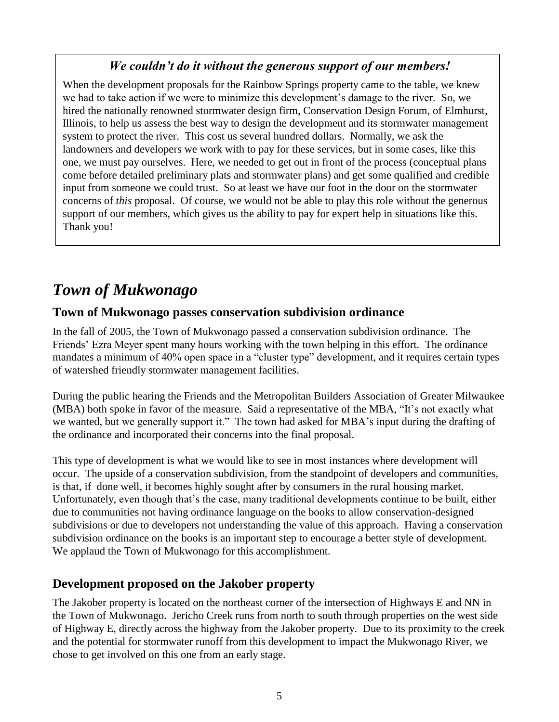#### *We couldn't do it without the generous support of our members!*

When the development proposals for the Rainbow Springs property came to the table, we knew we had to take action if we were to minimize this development's damage to the river. So, we hired the nationally renowned stormwater design firm, Conservation Design Forum, of Elmhurst, Illinois, to help us assess the best way to design the development and its stormwater management system to protect the river. This cost us several hundred dollars. Normally, we ask the landowners and developers we work with to pay for these services, but in some cases, like this one, we must pay ourselves. Here, we needed to get out in front of the process (conceptual plans come before detailed preliminary plats and stormwater plans) and get some qualified and credible input from someone we could trust. So at least we have our foot in the door on the stormwater concerns of *this* proposal. Of course, we would not be able to play this role without the generous support of our members, which gives us the ability to pay for expert help in situations like this. Thank you!

# *Town of Mukwonago*

#### **Town of Mukwonago passes conservation subdivision ordinance**

In the fall of 2005, the Town of Mukwonago passed a conservation subdivision ordinance. The Friends' Ezra Meyer spent many hours working with the town helping in this effort. The ordinance mandates a minimum of 40% open space in a "cluster type" development, and it requires certain types of watershed friendly stormwater management facilities.

During the public hearing the Friends and the Metropolitan Builders Association of Greater Milwaukee (MBA) both spoke in favor of the measure. Said a representative of the MBA, "It's not exactly what we wanted, but we generally support it." The town had asked for MBA's input during the drafting of the ordinance and incorporated their concerns into the final proposal.

This type of development is what we would like to see in most instances where development will occur. The upside of a conservation subdivision, from the standpoint of developers and communities, is that, if done well, it becomes highly sought after by consumers in the rural housing market. Unfortunately, even though that's the case, many traditional developments continue to be built, either due to communities not having ordinance language on the books to allow conservation-designed subdivisions or due to developers not understanding the value of this approach. Having a conservation subdivision ordinance on the books is an important step to encourage a better style of development. We applaud the Town of Mukwonago for this accomplishment.

#### **Development proposed on the Jakober property**

The Jakober property is located on the northeast corner of the intersection of Highways E and NN in the Town of Mukwonago. Jericho Creek runs from north to south through properties on the west side of Highway E, directly across the highway from the Jakober property. Due to its proximity to the creek and the potential for stormwater runoff from this development to impact the Mukwonago River, we chose to get involved on this one from an early stage.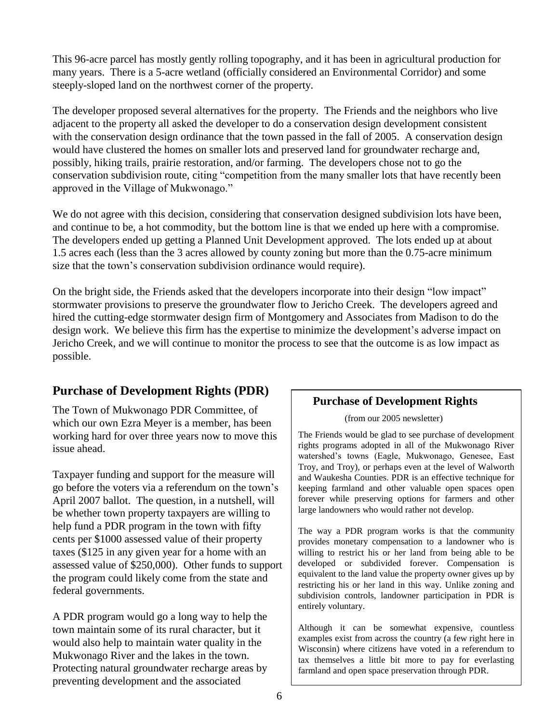This 96-acre parcel has mostly gently rolling topography, and it has been in agricultural production for many years. There is a 5-acre wetland (officially considered an Environmental Corridor) and some steeply-sloped land on the northwest corner of the property.

The developer proposed several alternatives for the property. The Friends and the neighbors who live adjacent to the property all asked the developer to do a conservation design development consistent with the conservation design ordinance that the town passed in the fall of 2005. A conservation design would have clustered the homes on smaller lots and preserved land for groundwater recharge and, possibly, hiking trails, prairie restoration, and/or farming. The developers chose not to go the conservation subdivision route, citing "competition from the many smaller lots that have recently been approved in the Village of Mukwonago."

We do not agree with this decision, considering that conservation designed subdivision lots have been, and continue to be, a hot commodity, but the bottom line is that we ended up here with a compromise. The developers ended up getting a Planned Unit Development approved. The lots ended up at about 1.5 acres each (less than the 3 acres allowed by county zoning but more than the 0.75-acre minimum size that the town's conservation subdivision ordinance would require).

On the bright side, the Friends asked that the developers incorporate into their design "low impact" stormwater provisions to preserve the groundwater flow to Jericho Creek. The developers agreed and hired the cutting-edge stormwater design firm of Montgomery and Associates from Madison to do the design work. We believe this firm has the expertise to minimize the development's adverse impact on Jericho Creek, and we will continue to monitor the process to see that the outcome is as low impact as possible.

#### **Purchase of Development Rights (PDR)**

The Town of Mukwonago PDR Committee, of which our own Ezra Meyer is a member, has been working hard for over three years now to move this issue ahead.

Taxpayer funding and support for the measure will go before the voters via a referendum on the town's April 2007 ballot. The question, in a nutshell, will be whether town property taxpayers are willing to help fund a PDR program in the town with fifty cents per \$1000 assessed value of their property taxes (\$125 in any given year for a home with an assessed value of \$250,000). Other funds to support the program could likely come from the state and federal governments.

A PDR program would go a long way to help the town maintain some of its rural character, but it would also help to maintain water quality in the Mukwonago River and the lakes in the town. Protecting natural groundwater recharge areas by preventing development and the associated

#### **Purchase of Development Rights**

(from our 2005 newsletter)

The Friends would be glad to see purchase of development rights programs adopted in all of the Mukwonago River watershed's towns (Eagle, Mukwonago, Genesee, East Troy, and Troy), or perhaps even at the level of Walworth and Waukesha Counties. PDR is an effective technique for keeping farmland and other valuable open spaces open forever while preserving options for farmers and other large landowners who would rather not develop.

The way a PDR program works is that the community provides monetary compensation to a landowner who is willing to restrict his or her land from being able to be developed or subdivided forever. Compensation is equivalent to the land value the property owner gives up by restricting his or her land in this way. Unlike zoning and subdivision controls, landowner participation in PDR is entirely voluntary.

Although it can be somewhat expensive, countless examples exist from across the country (a few right here in Wisconsin) where citizens have voted in a referendum to tax themselves a little bit more to pay for everlasting farmland and open space preservation through PDR.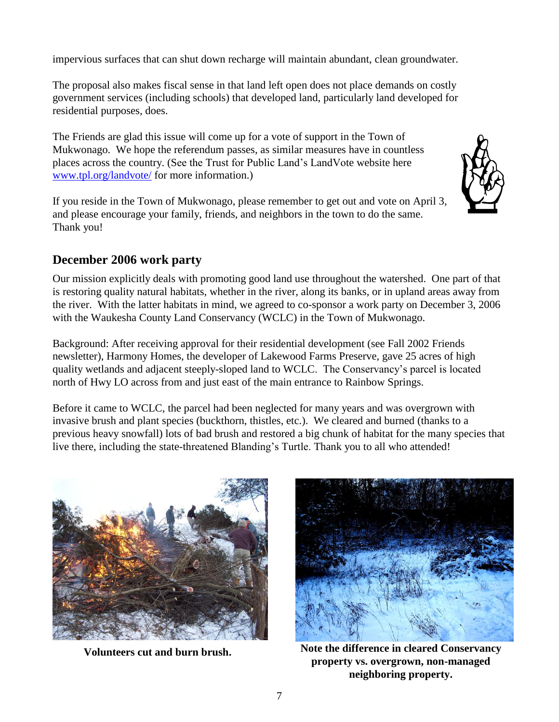impervious surfaces that can shut down recharge will maintain abundant, clean groundwater.

The proposal also makes fiscal sense in that land left open does not place demands on costly government services (including schools) that developed land, particularly land developed for residential purposes, does.

The Friends are glad this issue will come up for a vote of support in the Town of Mukwonago. We hope the referendum passes, as similar measures have in countless places across the country. (See the Trust for Public Land's LandVote website here [www.tpl.org/landvote/](file:///G:/www.tpl.org/landvote/) for more information.)

If you reside in the Town of Mukwonago, please remember to get out and vote on April 3, and please encourage your family, friends, and neighbors in the town to do the same. Thank you!

#### **December 2006 work party**

Our mission explicitly deals with promoting good land use throughout the watershed. One part of that is restoring quality natural habitats, whether in the river, along its banks, or in upland areas away from the river. With the latter habitats in mind, we agreed to co-sponsor a work party on December 3, 2006 with the Waukesha County Land Conservancy (WCLC) in the Town of Mukwonago.

Background: After receiving approval for their residential development (see Fall 2002 Friends newsletter), Harmony Homes, the developer of Lakewood Farms Preserve, gave 25 acres of high quality wetlands and adjacent steeply-sloped land to WCLC. The Conservancy's parcel is located north of Hwy LO across from and just east of the main entrance to Rainbow Springs.

Before it came to WCLC, the parcel had been neglected for many years and was overgrown with invasive brush and plant species (buckthorn, thistles, etc.). We cleared and burned (thanks to a previous heavy snowfall) lots of bad brush and restored a big chunk of habitat for the many species that live there, including the state-threatened Blanding's Turtle. Thank you to all who attended!





**Volunteers cut and burn brush. Note the difference in cleared Conservancy property vs. overgrown, non-managed neighboring property.**

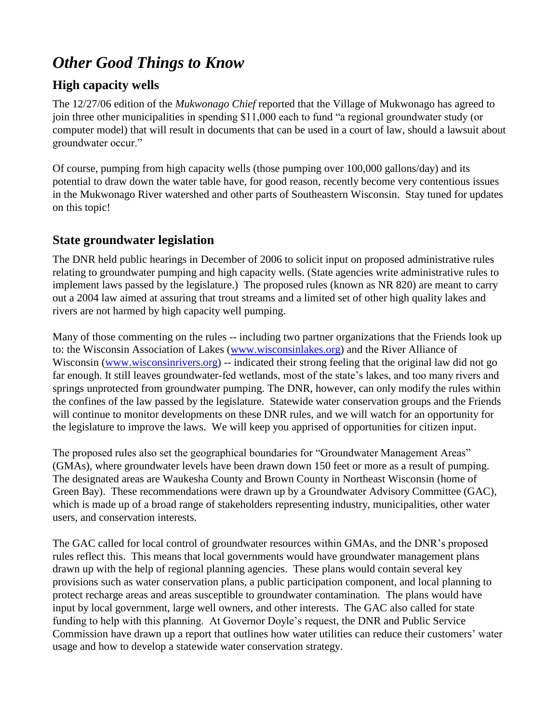# *Other Good Things to Know*

#### **High capacity wells**

The 12/27/06 edition of the *Mukwonago Chief* reported that the Village of Mukwonago has agreed to join three other municipalities in spending \$11,000 each to fund "a regional groundwater study (or computer model) that will result in documents that can be used in a court of law, should a lawsuit about groundwater occur."

Of course, pumping from high capacity wells (those pumping over 100,000 gallons/day) and its potential to draw down the water table have, for good reason, recently become very contentious issues in the Mukwonago River watershed and other parts of Southeastern Wisconsin. Stay tuned for updates on this topic!

#### **State groundwater legislation**

The DNR held public hearings in December of 2006 to solicit input on proposed administrative rules relating to groundwater pumping and high capacity wells. (State agencies write administrative rules to implement laws passed by the legislature.) The proposed rules (known as NR 820) are meant to carry out a 2004 law aimed at assuring that trout streams and a limited set of other high quality lakes and rivers are not harmed by high capacity well pumping.

Many of those commenting on the rules -- including two partner organizations that the Friends look up to: the Wisconsin Association of Lakes [\(www.wisconsinlakes.org\)](file:///G:/www.wisconsinlakes.org) and the River Alliance of Wisconsin [\(www.wisconsinrivers.org\)](file:///G:/www.wisconsinrivers.org) -- indicated their strong feeling that the original law did not go far enough. It still leaves groundwater-fed wetlands, most of the state's lakes, and too many rivers and springs unprotected from groundwater pumping. The DNR, however, can only modify the rules within the confines of the law passed by the legislature. Statewide water conservation groups and the Friends will continue to monitor developments on these DNR rules, and we will watch for an opportunity for the legislature to improve the laws. We will keep you apprised of opportunities for citizen input.

The proposed rules also set the geographical boundaries for "Groundwater Management Areas" (GMAs), where groundwater levels have been drawn down 150 feet or more as a result of pumping. The designated areas are Waukesha County and Brown County in Northeast Wisconsin (home of Green Bay). These recommendations were drawn up by a Groundwater Advisory Committee (GAC), which is made up of a broad range of stakeholders representing industry, municipalities, other water users, and conservation interests.

The GAC called for local control of groundwater resources within GMAs, and the DNR's proposed rules reflect this. This means that local governments would have groundwater management plans drawn up with the help of regional planning agencies. These plans would contain several key provisions such as water conservation plans, a public participation component, and local planning to protect recharge areas and areas susceptible to groundwater contamination. The plans would have input by local government, large well owners, and other interests. The GAC also called for state funding to help with this planning. At Governor Doyle's request, the DNR and Public Service Commission have drawn up a report that outlines how water utilities can reduce their customers' water usage and how to develop a statewide water conservation strategy.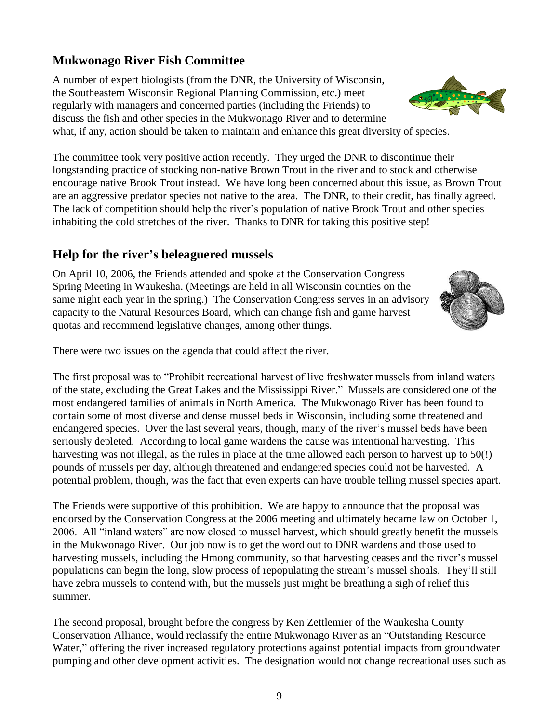#### **Mukwonago River Fish Committee**

A number of expert biologists (from the DNR, the University of Wisconsin, the Southeastern Wisconsin Regional Planning Commission, etc.) meet regularly with managers and concerned parties (including the Friends) to discuss the fish and other species in the Mukwonago River and to determine what, if any, action should be taken to maintain and enhance this great diversity of species.

The committee took very positive action recently. They urged the DNR to discontinue their longstanding practice of stocking non-native Brown Trout in the river and to stock and otherwise encourage native Brook Trout instead. We have long been concerned about this issue, as Brown Trout are an aggressive predator species not native to the area. The DNR, to their credit, has finally agreed. The lack of competition should help the river's population of native Brook Trout and other species inhabiting the cold stretches of the river. Thanks to DNR for taking this positive step!

#### **Help for the river's beleaguered mussels**

On April 10, 2006, the Friends attended and spoke at the Conservation Congress Spring Meeting in Waukesha. (Meetings are held in all Wisconsin counties on the same night each year in the spring.) The Conservation Congress serves in an advisory capacity to the Natural Resources Board, which can change fish and game harvest quotas and recommend legislative changes, among other things.

There were two issues on the agenda that could affect the river.

The first proposal was to "Prohibit recreational harvest of live freshwater mussels from inland waters of the state, excluding the Great Lakes and the Mississippi River." Mussels are considered one of the most endangered families of animals in North America. The Mukwonago River has been found to contain some of most diverse and dense mussel beds in Wisconsin, including some threatened and endangered species. Over the last several years, though, many of the river's mussel beds have been seriously depleted. According to local game wardens the cause was intentional harvesting. This harvesting was not illegal, as the rules in place at the time allowed each person to harvest up to 50(!) pounds of mussels per day, although threatened and endangered species could not be harvested. A potential problem, though, was the fact that even experts can have trouble telling mussel species apart.

The Friends were supportive of this prohibition. We are happy to announce that the proposal was endorsed by the Conservation Congress at the 2006 meeting and ultimately became law on October 1, 2006. All "inland waters" are now closed to mussel harvest, which should greatly benefit the mussels in the Mukwonago River. Our job now is to get the word out to DNR wardens and those used to harvesting mussels, including the Hmong community, so that harvesting ceases and the river's mussel populations can begin the long, slow process of repopulating the stream's mussel shoals. They'll still have zebra mussels to contend with, but the mussels just might be breathing a sigh of relief this summer.

The second proposal, brought before the congress by Ken Zettlemier of the Waukesha County Conservation Alliance, would reclassify the entire Mukwonago River as an "Outstanding Resource Water," offering the river increased regulatory protections against potential impacts from groundwater pumping and other development activities. The designation would not change recreational uses such as

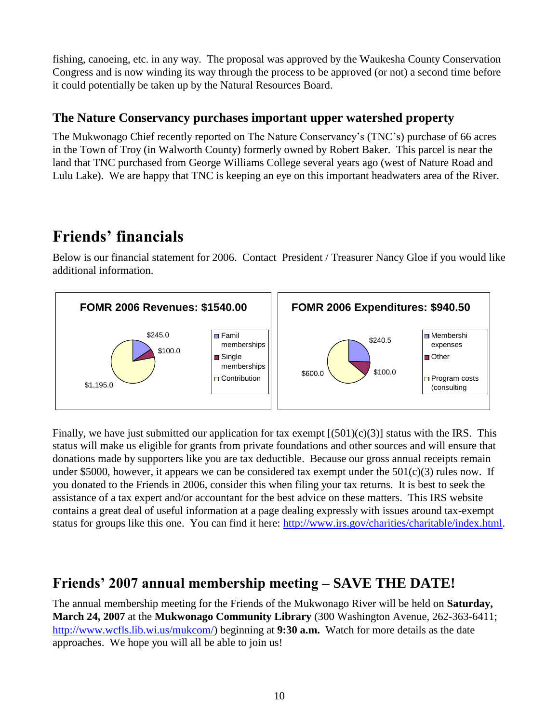fishing, canoeing, etc. in any way. The proposal was approved by the Waukesha County Conservation Congress and is now winding its way through the process to be approved (or not) a second time before it could potentially be taken up by the Natural Resources Board.

#### **The Nature Conservancy purchases important upper watershed property**

The Mukwonago Chief recently reported on The Nature Conservancy's (TNC's) purchase of 66 acres in the Town of Troy (in Walworth County) formerly owned by Robert Baker. This parcel is near the land that TNC purchased from George Williams College several years ago (west of Nature Road and Lulu Lake). We are happy that TNC is keeping an eye on this important headwaters area of the River.

# **Friends' financials**

Below is our financial statement for 2006. Contact President / Treasurer Nancy Gloe if you would like additional information.



Finally, we have just submitted our application for tax exempt  $[(501)(c)(3)]$  status with the IRS. This status will make us eligible for grants from private foundations and other sources and will ensure that donations made by supporters like you are tax deductible. Because our gross annual receipts remain under \$5000, however, it appears we can be considered tax exempt under the  $501(c)(3)$  rules now. If you donated to the Friends in 2006, consider this when filing your tax returns. It is best to seek the assistance of a tax expert and/or accountant for the best advice on these matters. This IRS website contains a great deal of useful information at a page dealing expressly with issues around tax-exempt status for groups like this one. You can find it here: [http://www.irs.gov/charities/charitable/index.html.](http://www.irs.gov/charities/charitable/index.html)

### **Friends' 2007 annual membership meeting – SAVE THE DATE!**

The annual membership meeting for the Friends of the Mukwonago River will be held on **Saturday, March 24, 2007** at the **Mukwonago Community Library** (300 Washington Avenue, 262-363-6411; [http://www.wcfls.lib.wi.us/mukcom/\)](http://www.wcfls.lib.wi.us/mukcom/) beginning at **9:30 a.m.** Watch for more details as the date approaches. We hope you will all be able to join us!